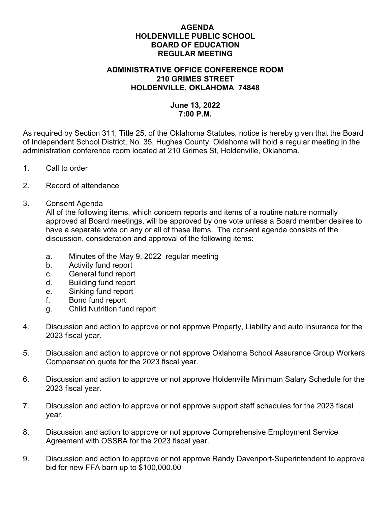## AGENDA HOLDENVILLE PUBLIC SCHOOL BOARD OF EDUCATION REGULAR MEETING

## ADMINISTRATIVE OFFICE CONFERENCE ROOM 210 GRIMES STREET HOLDENVILLE, OKLAHOMA 74848

## June 13, 2022 7:00 P.M.

As required by Section 311, Title 25, of the Oklahoma Statutes, notice is hereby given that the Board of Independent School District, No. 35, Hughes County, Oklahoma will hold a regular meeting in the administration conference room located at 210 Grimes St, Holdenville, Oklahoma.

- 1. Call to order
- 2. Record of attendance
- 3. Consent Agenda

All of the following items, which concern reports and items of a routine nature normally approved at Board meetings, will be approved by one vote unless a Board member desires to have a separate vote on any or all of these items. The consent agenda consists of the discussion, consideration and approval of the following items:

- a. Minutes of the May 9, 2022 regular meeting
- b. Activity fund report
- c. General fund report
- d. Building fund report
- e. Sinking fund report
- f. Bond fund report
- g. Child Nutrition fund report
- 4. Discussion and action to approve or not approve Property, Liability and auto Insurance for the 2023 fiscal year.
- 5. Discussion and action to approve or not approve Oklahoma School Assurance Group Workers Compensation quote for the 2023 fiscal year.
- 6. Discussion and action to approve or not approve Holdenville Minimum Salary Schedule for the 2023 fiscal year.
- 7. Discussion and action to approve or not approve support staff schedules for the 2023 fiscal year.
- 8. Discussion and action to approve or not approve Comprehensive Employment Service Agreement with OSSBA for the 2023 fiscal year.
- 9. Discussion and action to approve or not approve Randy Davenport-Superintendent to approve bid for new FFA barn up to \$100,000.00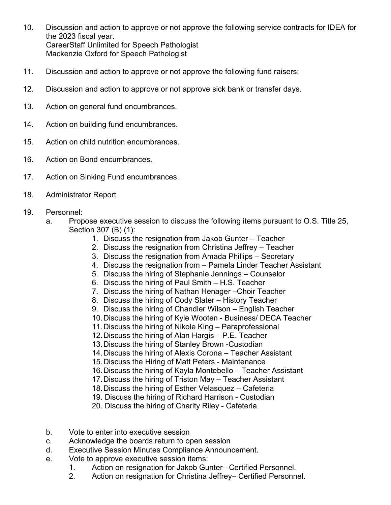- 10. Discussion and action to approve or not approve the following service contracts for IDEA for the 2023 fiscal year. CareerStaff Unlimited for Speech Pathologist Mackenzie Oxford for Speech Pathologist
- 11. Discussion and action to approve or not approve the following fund raisers:
- 12. Discussion and action to approve or not approve sick bank or transfer days.
- 13. Action on general fund encumbrances.
- 14. Action on building fund encumbrances.
- 15. Action on child nutrition encumbrances.
- 16. Action on Bond encumbrances.
- 17. Action on Sinking Fund encumbrances.
- 18. Administrator Report
- 19. Personnel:
	- a. Propose executive session to discuss the following items pursuant to O.S. Title 25, Section 307 (B) (1):
		- 1. Discuss the resignation from Jakob Gunter Teacher
		- 2. Discuss the resignation from Christina Jeffrey Teacher
		- 3. Discuss the resignation from Amada Phillips Secretary
		- 4. Discuss the resignation from Pamela Linder Teacher Assistant
		- 5. Discuss the hiring of Stephanie Jennings Counselor
		- 6. Discuss the hiring of Paul Smith H.S. Teacher
		- 7. Discuss the hiring of Nathan Henager –Choir Teacher
		- 8. Discuss the hiring of Cody Slater History Teacher
		- 9. Discuss the hiring of Chandler Wilson English Teacher
		- 10. Discuss the hiring of Kyle Wooten Business/ DECA Teacher
		- 11. Discuss the hiring of Nikole King Paraprofessional
		- 12. Discuss the hiring of Alan Hargis P.E. Teacher
		- 13. Discuss the hiring of Stanley Brown -Custodian
		- 14. Discuss the hiring of Alexis Corona Teacher Assistant
		- 15. Discuss the Hiring of Matt Peters Maintenance
		- 16. Discuss the hiring of Kayla Montebello Teacher Assistant
		- 17. Discuss the hiring of Triston May Teacher Assistant
		- 18. Discuss the hiring of Esther Velasquez Cafeteria
		- 19. Discuss the hiring of Richard Harrison Custodian
		- 20. Discuss the hiring of Charity Riley Cafeteria
	- b. Vote to enter into executive session
	- c. Acknowledge the boards return to open session
	- d. Executive Session Minutes Compliance Announcement.
	- e. Vote to approve executive session items:
		- 1. Action on resignation for Jakob Gunter– Certified Personnel.
		- 2. Action on resignation for Christina Jeffrey– Certified Personnel.